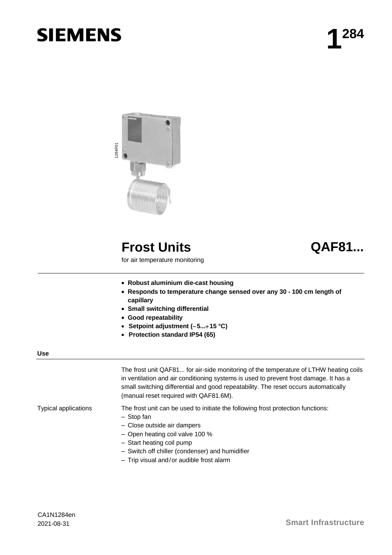# **SIEMENS**



## **Frost Units QAF81...**

for air temperature monitoring

- **Robust aluminium die-cast housing**
- **Responds to temperature change sensed over any 30 100 cm length of capillary**
- **Small switching differential**
- **Good repeatability**
- **Setpoint adjustment (5...15 °C)**
- **Protection standard IP54 (65)**

#### **Use**

The frost unit QAF81... for air-side monitoring of the temperature of LTHW heating coils in ventilation and air conditioning systems is used to prevent frost damage. It has a small switching differential and good repeatability. The reset occurs automatically (manual reset required with QAF81.6M).

Typical applications

The frost unit can be used to initiate the following frost protection functions:

- Stop fan
- Close outside air dampers
- Open heating coil valve 100 %
- Start heating coil pump
- Switch off chiller (condenser) and humidifier
- Trip visual and/or audible frost alarm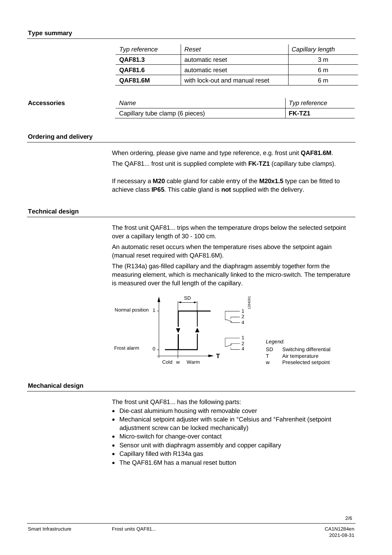#### **Type summary**

| Typ reference   | Reset                          | Capillary length |
|-----------------|--------------------------------|------------------|
| QAF81.3         | automatic reset                | 3 m              |
| QAF81.6         | automatic reset                | 6 m              |
| <b>QAF81.6M</b> | with lock-out and manual reset | 6 m              |

| <b>Accessories</b> | Name                            | Typ reference |
|--------------------|---------------------------------|---------------|
|                    | Capillary tube clamp (6 pieces) | FK-TZ1        |

#### **Ordering and delivery**

When ordering, please give name and type reference, e.g. frost unit **QAF81.6M**.

The QAF81... frost unit is supplied complete with **FK-TZ1** (capillary tube clamps).

If necessary a **M20** cable gland for cable entry of the **M20x1.5** type can be fitted to achieve class **IP65**. This cable gland is **not** supplied with the delivery.

#### **Technical design**

The frost unit QAF81... trips when the temperature drops below the selected setpoint over a capillary length of 30 - 100 cm.

An automatic reset occurs when the temperature rises above the setpoint again (manual reset required with QAF81.6M).

The (R134a) gas-filled capillary and the diaphragm assembly together form the measuring element, which is mechanically linked to the micro-switch. The temperature is measured over the full length of the capillary.



#### **Mechanical design**

The frost unit QAF81... has the following parts:

- Die-cast aluminium housing with removable cover
- Mechanical setpoint adjuster with scale in °Celsius and °Fahrenheit (setpoint adjustment screw can be locked mechanically)
- Micro-switch for change-over contact
- Sensor unit with diaphragm assembly and copper capillary
- Capillary filled with R134a gas
- The QAF81.6M has a manual reset button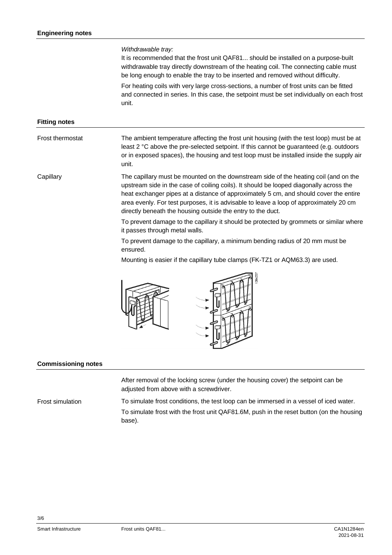### *Withdrawable tray:* It is recommended that the frost unit QAF81... should be installed on a purpose-built withdrawable tray directly downstream of the heating coil. The connecting cable must be long enough to enable the tray to be inserted and removed without difficulty. For heating coils with very large cross-sections, a number of frost units can be fitted and connected in series. In this case, the setpoint must be set individually on each frost unit. **Fitting notes** The ambient temperature affecting the frost unit housing (with the test loop) must be at least 2 °C above the pre-selected setpoint. If this cannot be guaranteed (e.g. outdoors or in exposed spaces), the housing and test loop must be installed inside the supply air unit. The capillary must be mounted on the downstream side of the heating coil (and on the upstream side in the case of coiling coils). It should be looped diagonally across the heat exchanger pipes at a distance of approximately 5 cm, and should cover the entire area evenly. For test purposes, it is advisable to leave a loop of approximately 20 cm directly beneath the housing outside the entry to the duct. To prevent damage to the capillary it should be protected by grommets or similar where it passes through metal walls. To prevent damage to the capillary, a minimum bending radius of 20 mm must be ensured. Mounting is easier if the capillary tube clamps (FK-TZ1 or AQM63.3) are used. Frost thermostat **Capillary**

adiusted from above with a screwdriver. To simulate frost conditions, the test loop can be immersed in a vessel of iced water. To simulate frost with the frost unit QAF81.6M, push in the reset button (on the housing base). Frost simulation

After removal of the locking screw (under the housing cover) the setpoint can be

**Commissioning notes**

3/6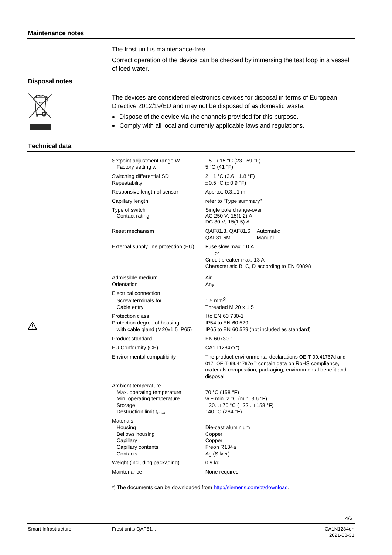The frost unit is maintenance-free.

Correct operation of the device can be checked by immersing the test loop in a vessel of iced water.

#### **Disposal notes**



 $\wedge$ 

The devices are considered electronics devices for disposal in terms of European Directive 2012/19/EU and may not be disposed of as domestic waste.

- Dispose of the device via the channels provided for this purpose.
- Comply with all local and currently applicable laws and regulations.

#### **Technical data**

| Setpoint adjustment range Wh<br>Factory setting w                                                                     | $-5+15$ °C (2359 °F)<br>5 °C (41 °F)                                                                                                                                                                     |  |
|-----------------------------------------------------------------------------------------------------------------------|----------------------------------------------------------------------------------------------------------------------------------------------------------------------------------------------------------|--|
| Switching differential SD<br>Repeatability                                                                            | $2 \pm 1$ °C (3.6 $\pm$ 1.8 °F)<br>$\pm$ 0.5 °C ( $\pm$ 0.9 °F)                                                                                                                                          |  |
| Responsive length of sensor                                                                                           | Approx. 0.31 m                                                                                                                                                                                           |  |
| Capillary length                                                                                                      | refer to "Type summary"                                                                                                                                                                                  |  |
| Type of switch<br>Contact rating                                                                                      | Single pole change-over<br>AC 250 V, 15(1.2) A<br>DC 30 V, 15(1.5) A                                                                                                                                     |  |
| Reset mechanism                                                                                                       | QAF81.3, QAF81.6<br>Automatic<br>QAF81.6M<br>Manual                                                                                                                                                      |  |
| External supply line protection (EU)                                                                                  | Fuse slow max. 10 A<br>or<br>Circuit breaker max, 13 A<br>Characteristic B, C, D according to EN 60898                                                                                                   |  |
| Admissible medium<br>Orientation                                                                                      | Air<br>Any                                                                                                                                                                                               |  |
| Electrical connection<br>Screw terminals for<br>Cable entry                                                           | $1.5 \text{ mm}^2$<br>Threaded M 20 x 1.5                                                                                                                                                                |  |
| <b>Protection class</b><br>Protection degree of housing<br>with cable gland (M20x1.5 IP65)                            | I to EN 60 730-1<br>IP54 to EN 60 529<br>IP65 to EN 60 529 (not included as standard)                                                                                                                    |  |
| <b>Product standard</b>                                                                                               | EN 60730-1                                                                                                                                                                                               |  |
| EU Conformity (CE)                                                                                                    | CA1T1284xx*)                                                                                                                                                                                             |  |
| Environmental compatibility                                                                                           | The product environmental declarations OE-T-99.41767d and<br>017_OE-T-99.41767e <sup>*</sup> contain data on RoHS compliance,<br>materials composition, packaging, environmental benefit and<br>disposal |  |
| Ambient temperature<br>Max. operating temperature<br>Min. operating temperature<br>Storage<br>Destruction limit tsmax | 70 °C (158 °F)<br>w + min. $2 °C$ (min. $3.6 °F$ )<br>$-30+70$ °C ( $-22+158$ °F)<br>140 °C (284 °F)                                                                                                     |  |
| <b>Materials</b><br>Housing<br>Bellows housing<br>Capillary<br>Capillary contents<br>Contacts                         | Die-cast aluminium<br>Copper<br>Copper<br>Freon R134a<br>Ag (Silver)                                                                                                                                     |  |
| Weight (including packaging)                                                                                          | $0.9$ kg                                                                                                                                                                                                 |  |
| Maintenance                                                                                                           | None required                                                                                                                                                                                            |  |

\*) The documents can be downloaded from <http://siemens.com/bt/download>.

4/6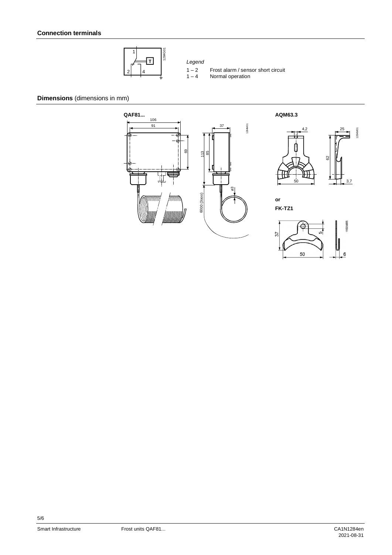

- $1 2$  Frost alarm / sensor short circuit<br> $1 4$  Normal operation
	- Normal operation

**Dimensions** (dimensions in mm)



50

6

5/6